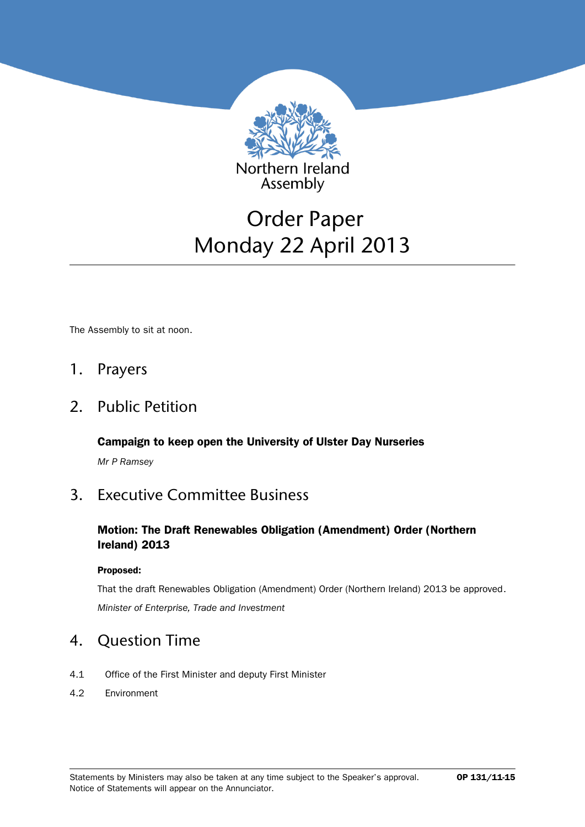

# Order Paper Monday 22 April 2013

The Assembly to sit at noon.

### 1. Prayers

### 2. Public Petition

**Campaign to keep open the University of Ulster Day Nurseries**

*Mr P Ramsey*

# 3. Executive Committee Business

### **Motion: The Draft Renewables Obligation (Amendment) Order (Northern Ireland) 2013**

#### **Proposed:**

That the draft Renewables Obligation (Amendment) Order (Northern Ireland) 2013 be approved. *Minister of Enterprise, Trade and Investment*

### 4. Question Time

- 4.1 Office of the First Minister and deputy First Minister
- 4.2 Environment